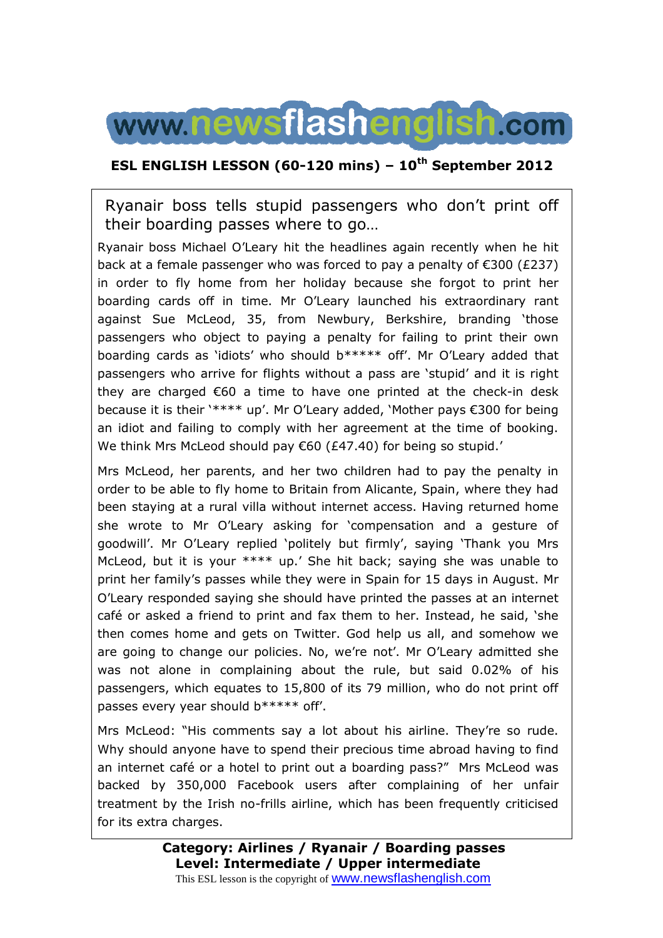

#### **ESL ENGLISH LESSON (60-120 mins) – 10th September 2012**

Ryanair boss tells stupid passengers who don't print off their boarding passes where to go…

Ryanair boss Michael O'Leary hit the headlines again recently when he hit back at a female passenger who was forced to pay a penalty of €300 (£237) in order to fly home from her holiday because she forgot to print her boarding cards off in time. Mr O'Leary launched his extraordinary rant against Sue McLeod, 35, from Newbury, Berkshire, branding 'those passengers who object to paying a penalty for failing to print their own boarding cards as 'idiots' who should b\*\*\*\*\* off'. Mr O'Leary added that passengers who arrive for flights without a pass are 'stupid' and it is right they are charged €60 a time to have one printed at the check-in desk because it is their '\*\*\*\* up'. Mr O'Leary added, 'Mother pays €300 for being an idiot and failing to comply with her agreement at the time of booking. We think Mrs McLeod should pay €60 (£47.40) for being so stupid.'

Mrs McLeod, her parents, and her two children had to pay the penalty in order to be able to fly home to Britain from Alicante, Spain, where they had been staying at a rural villa without internet access. Having returned home she wrote to Mr O'Leary asking for 'compensation and a gesture of goodwill'. Mr O'Leary replied 'politely but firmly', saying 'Thank you Mrs McLeod, but it is your \*\*\*\* up.' She hit back; saying she was unable to print her family's passes while they were in Spain for 15 days in August. Mr O'Leary responded saying she should have printed the passes at an internet café or asked a friend to print and fax them to her. Instead, he said, 'she then comes home and gets on Twitter. God help us all, and somehow we are going to change our policies. No, we're not'. Mr O'Leary admitted she was not alone in complaining about the rule, but said 0.02% of his passengers, which equates to 15,800 of its 79 million, who do not print off passes every year should b\*\*\*\*\* off'.

Mrs McLeod: "His comments say a lot about his airline. They're so rude. Why should anyone have to spend their precious time abroad having to find an internet café or a hotel to print out a boarding pass?" Mrs McLeod was backed by 350,000 Facebook users after complaining of her unfair treatment by the Irish no-frills airline, which has been frequently criticised for its extra charges.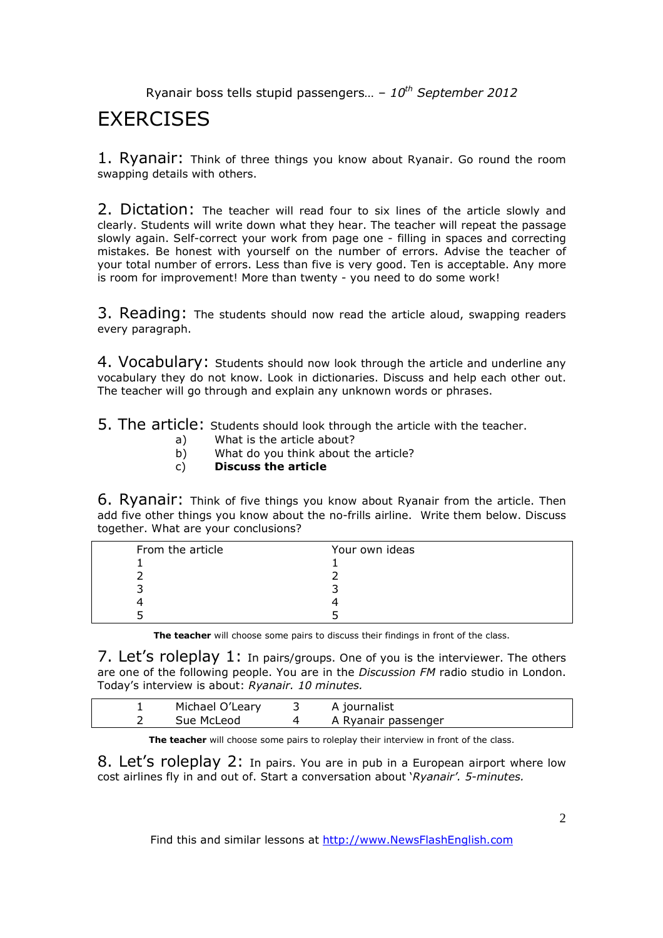# **EXERCISES**

1. Ryanair: Think of three things you know about Ryanair. Go round the room swapping details with others.

2. Dictation: The teacher will read four to six lines of the article slowly and clearly. Students will write down what they hear. The teacher will repeat the passage slowly again. Self-correct your work from page one - filling in spaces and correcting mistakes. Be honest with yourself on the number of errors. Advise the teacher of your total number of errors. Less than five is very good. Ten is acceptable. Any more is room for improvement! More than twenty - you need to do some work!

3. Reading: The students should now read the article aloud, swapping readers every paragraph.

4. Vocabulary: Students should now look through the article and underline any vocabulary they do not know. Look in dictionaries. Discuss and help each other out. The teacher will go through and explain any unknown words or phrases.

5. The article: Students should look through the article with the teacher.

- a) What is the article about?
- b) What do you think about the article?
- c) **Discuss the article**

6. Ryanair: Think of five things you know about Ryanair from the article. Then add five other things you know about the no-frills airline. Write them below. Discuss together. What are your conclusions?

| From the article | Your own ideas |
|------------------|----------------|
|                  |                |
|                  |                |
|                  |                |
|                  |                |
|                  |                |

**The teacher** will choose some pairs to discuss their findings in front of the class.

7. Let's roleplay 1: In pairs/groups. One of you is the interviewer. The others are one of the following people. You are in the *Discussion FM* radio studio in London. Today's interview is about: *Ryanair. 10 minutes.* 

| Michael O'Leary | A journalist        |  |
|-----------------|---------------------|--|
| Sue McLeod      | A Ryanair passenger |  |

**The teacher** will choose some pairs to roleplay their interview in front of the class.

8. Let's roleplay 2: In pairs. You are in pub in a European airport where low cost airlines fly in and out of. Start a conversation about '*Ryanair'. 5-minutes.* 

Find this and similar lessons at http://www.NewsFlashEnglish.com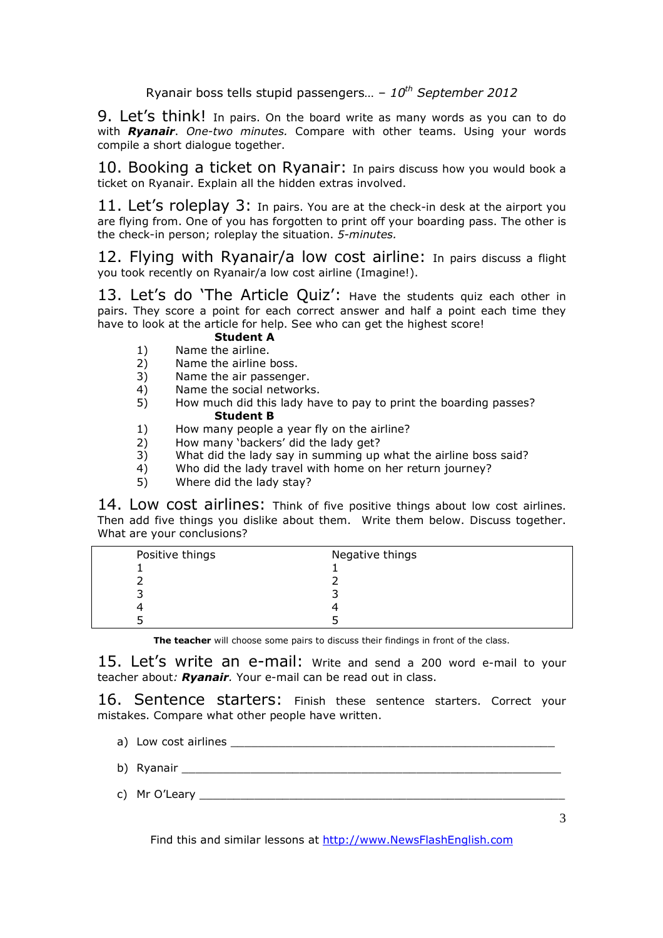9. Let's think! In pairs. On the board write as many words as you can to do with *Ryanair*. *One-two minutes.* Compare with other teams. Using your words compile a short dialogue together.

10. Booking a ticket on Ryanair: In pairs discuss how you would book a ticket on Ryanair. Explain all the hidden extras involved.

11. Let's roleplay 3: In pairs. You are at the check-in desk at the airport you are flying from. One of you has forgotten to print off your boarding pass. The other is the check-in person; roleplay the situation. *5-minutes.*

12. Flying with Ryanair/a low cost airline: In pairs discuss a flight you took recently on Ryanair/a low cost airline (Imagine!).

13. Let's do 'The Article Quiz': Have the students quiz each other in pairs. They score a point for each correct answer and half a point each time they have to look at the article for help. See who can get the highest score!

#### **Student A**

- 1) Name the airline.
- 2) Name the airline boss.
- 3) Name the air passenger.<br>4) Name the social network
- 4) Name the social networks.<br>5) How much did this lady has
- 5) How much did this lady have to pay to print the boarding passes? **Student B**
- 1) How many people a year fly on the airline?
- 2) How many 'backers' did the lady get?
- 3) What did the lady say in summing up what the airline boss said?
- 4) Who did the lady travel with home on her return journey?
- 5) Where did the lady stay?

14. Low cost airlines: Think of five positive things about low cost airlines. Then add five things you dislike about them. Write them below. Discuss together. What are your conclusions?

| Positive things | Negative things |
|-----------------|-----------------|
|                 |                 |
|                 |                 |
|                 |                 |
|                 |                 |
|                 |                 |

**The teacher** will choose some pairs to discuss their findings in front of the class.

15. Let's write an e-mail: Write and send a 200 word e-mail to your teacher about*: Ryanair.* Your e-mail can be read out in class.

16. Sentence starters: Finish these sentence starters. Correct your mistakes. Compare what other people have written.

- a) Low cost airlines \_\_\_\_\_\_\_\_\_\_\_\_\_\_\_\_\_\_\_\_\_\_\_\_\_\_\_\_\_\_\_\_\_\_\_\_\_\_\_\_\_\_\_\_\_\_\_
- b) Ryanair **and a component of the set of the set of the set of the set of the set of the set of the set of the set of the set of the set of the set of the set of the set of the set of the set of the set of the set of the**
- c) Mr O'Leary

Find this and similar lessons at http://www.NewsFlashEnglish.com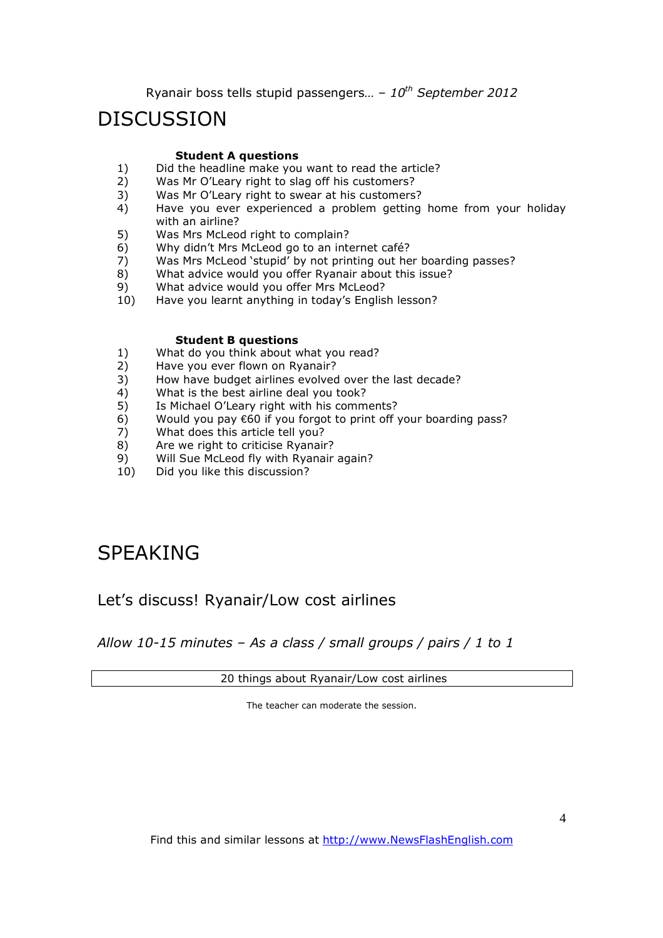## DISCUSSION

#### **Student A questions**

- 1) Did the headline make you want to read the article?<br>2) Was Mr O'l eary right to slag off his customers?
- Was Mr O'Leary right to slag off his customers?
- 3) Was Mr O'Leary right to swear at his customers?
- 4) Have you ever experienced a problem getting home from your holiday with an airline?
- 5) Was Mrs McLeod right to complain?
- 6) Why didn't Mrs McLeod go to an internet café?
- 7) Was Mrs McLeod 'stupid' by not printing out her boarding passes?
- 8) What advice would you offer Ryanair about this issue?
- 9) What advice would you offer Mrs McLeod?
- 10) Have you learnt anything in today's English lesson?

#### **Student B questions**

- 1) What do you think about what you read?
- 2) Have you ever flown on Ryanair?
- 3) How have budget airlines evolved over the last decade?
- 4) What is the best airline deal you took?
- 5) Is Michael O'Leary right with his comments?
- 6) Would you pay €60 if you forgot to print off your boarding pass?
- 7) What does this article tell you?
- 8) Are we right to criticise Ryanair?
- 9) Will Sue McLeod fly with Ryanair again?
- 10) Did you like this discussion?

## SPEAKING

### Let's discuss! Ryanair/Low cost airlines

*Allow 10-15 minutes – As a class / small groups / pairs / 1 to 1*

20 things about Ryanair/Low cost airlines

The teacher can moderate the session.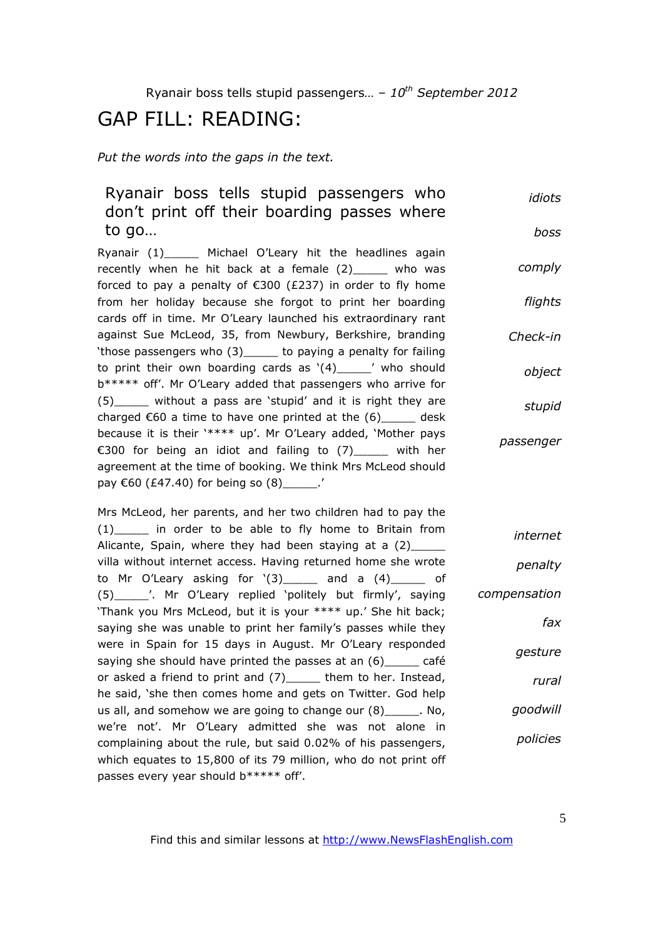# GAP FILL: READING:

*Put the words into the gaps in the text.* 

| Ryanair boss tells stupid passengers who<br>don't print off their boarding passes where                                                                                                                                               | idiots          |
|---------------------------------------------------------------------------------------------------------------------------------------------------------------------------------------------------------------------------------------|-----------------|
| to go                                                                                                                                                                                                                                 | boss            |
| Ryanair (1)_______ Michael O'Leary hit the headlines again<br>recently when he hit back at a female (2)____ who was<br>forced to pay a penalty of $\epsilon$ 300 (£237) in order to fly home                                          | comply          |
| from her holiday because she forgot to print her boarding<br>cards off in time. Mr O'Leary launched his extraordinary rant                                                                                                            | flights         |
| against Sue McLeod, 35, from Newbury, Berkshire, branding<br>'those passengers who (3) _____ to paying a penalty for failing                                                                                                          | Check-in        |
| to print their own boarding cards as $'(4)$ ______ who should<br>b***** off'. Mr O'Leary added that passengers who arrive for                                                                                                         | object          |
| (5) _____ without a pass are 'stupid' and it is right they are<br>charged $\epsilon$ 60 a time to have one printed at the $(6)$ _____ desk                                                                                            | stupid          |
| because it is their '**** up'. Mr O'Leary added, 'Mother pays<br>€300 for being an idiot and failing to (7)____ with her<br>agreement at the time of booking. We think Mrs McLeod should<br>pay €60 (£47.40) for being so (8)______.' | passenger       |
| Mrs McLeod, her parents, and her two children had to pay the<br>(1) in order to be able to fly home to Britain from<br>Alicante, Spain, where they had been staying at a (2)____                                                      | <i>internet</i> |
| villa without internet access. Having returned home she wrote<br>to Mr O'Leary asking for $'(3)$ and a $(4)$ of                                                                                                                       | penalty         |
| (5)_______'. Mr O'Leary replied 'politely but firmly', saying<br>'Thank you Mrs McLeod, but it is your **** up.' She hit back;                                                                                                        | compensation    |
| saying she was unable to print her family's passes while they                                                                                                                                                                         | fax             |
| were in Spain for 15 days in August. Mr O'Leary responded<br>saying she should have printed the passes at an (6) ______ café                                                                                                          | gesture         |

or asked a friend to print and (7)\_\_\_\_\_ them to her. Instead, he said, 'she then comes home and gets on Twitter. God help us all, and somehow we are going to change our (8)\_\_\_\_\_. No, we're not'. Mr O'Leary admitted she was not alone in complaining about the rule, but said 0.02% of his passengers, which equates to 15,800 of its 79 million, who do not print off passes every year should b\*\*\*\*\* off'. *goodwill policies*

Find this and similar lessons at http://www.NewsFlashEnglish.com

*rural*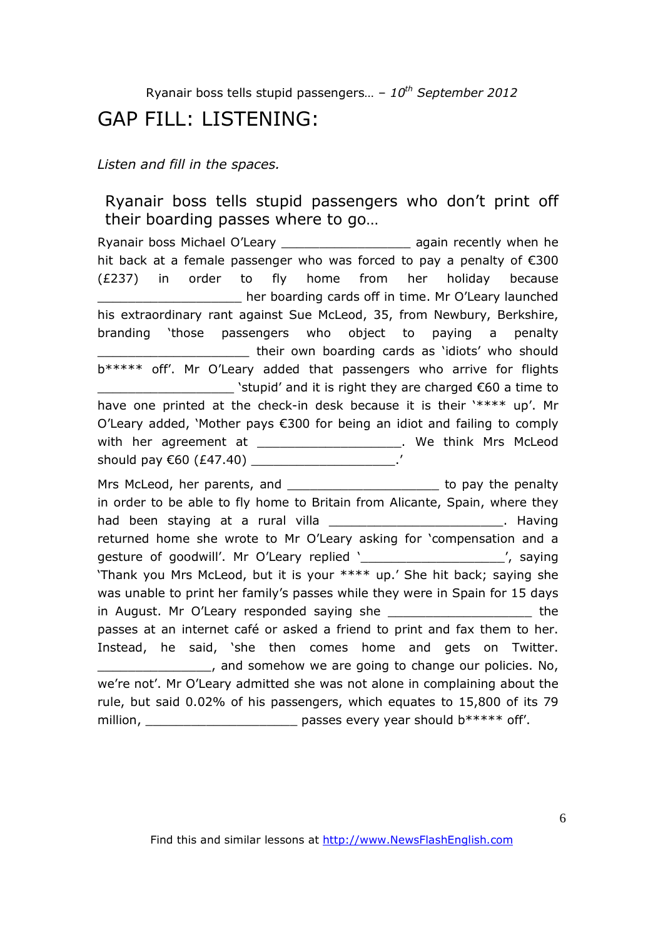# GAP FILL: LISTENING:

*Listen and fill in the spaces.* 

## Ryanair boss tells stupid passengers who don't print off their boarding passes where to go…

Ryanair boss Michael O'Leary \_\_\_\_\_\_\_\_\_\_\_\_\_\_\_\_\_ again recently when he hit back at a female passenger who was forced to pay a penalty of €300 (£237) in order to fly home from her holiday because \_\_\_\_\_\_\_\_\_\_\_\_\_\_\_\_\_\_\_ her boarding cards off in time. Mr O'Leary launched his extraordinary rant against Sue McLeod, 35, from Newbury, Berkshire, branding 'those passengers who object to paying a penalty their own boarding cards as 'idiots' who should b\*\*\*\*\* off'. Mr O'Leary added that passengers who arrive for flights  $\Box$  > stupid' and it is right they are charged  $\epsilon$ 60 a time to have one printed at the check-in desk because it is their '\*\*\*\* up'. Mr O'Leary added, 'Mother pays €300 for being an idiot and failing to comply with her agreement at \_\_\_\_\_\_\_\_\_\_\_\_\_\_\_\_\_\_\_\_\_. We think Mrs McLeod should pay €60 (£47.40) \_\_\_\_\_\_\_\_\_\_\_\_\_\_\_\_\_\_\_\_\_\_.' Mrs McLeod, her parents, and \_\_\_\_\_\_\_\_\_\_\_\_\_\_\_\_\_\_\_\_\_\_\_\_\_ to pay the penalty in order to be able to fly home to Britain from Alicante, Spain, where they had been staying at a rural villa **waxaa ka markaalad ah ay ka markaalad ah ay** . Having returned home she wrote to Mr O'Leary asking for 'compensation and a gesture of goodwill'. Mr O'Leary replied '\_\_\_\_\_\_\_\_\_\_\_\_\_\_\_\_\_\_\_\_\_\_', saying 'Thank you Mrs McLeod, but it is your \*\*\*\* up.' She hit back; saying she was unable to print her family's passes while they were in Spain for 15 days in August. Mr O'Leary responded saying she \_\_\_\_\_\_\_\_\_\_\_\_\_\_\_\_\_\_\_\_\_\_\_\_ the passes at an internet café or asked a friend to print and fax them to her. Instead, he said, 'she then comes home and gets on Twitter. **EXECUTE:** The somehow we are going to change our policies. No, we're not'. Mr O'Leary admitted she was not alone in complaining about the rule, but said 0.02% of his passengers, which equates to 15,800 of its 79 million, million, million, million, million, million, million, mode and match passes every year should b\*\*\*\*\* off'.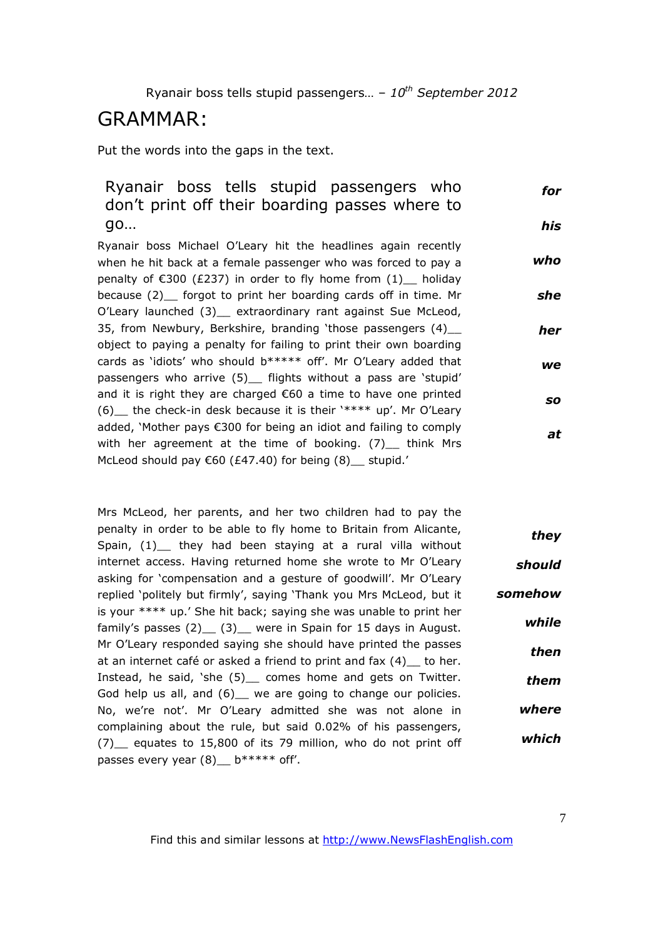## GRAMMAR:

Put the words into the gaps in the text.

#### Ryanair boss tells stupid passengers who don't print off their boarding passes where to go… *for his*

Ryanair boss Michael O'Leary hit the headlines again recently when he hit back at a female passenger who was forced to pay a penalty of  $\epsilon$ 300 (£237) in order to fly home from (1) holiday because (2) forgot to print her boarding cards off in time. Mr O'Leary launched (3) extraordinary rant against Sue McLeod, 35, from Newbury, Berkshire, branding 'those passengers (4)\_\_ object to paying a penalty for failing to print their own boarding cards as 'idiots' who should b\*\*\*\*\* off'. Mr O'Leary added that passengers who arrive (5) flights without a pass are 'stupid' and it is right they are charged €60 a time to have one printed (6) the check-in desk because it is their '\*\*\*\* up'. Mr O'Leary added, 'Mother pays €300 for being an idiot and failing to comply with her agreement at the time of booking. (7) think Mrs McLeod should pay  $€60$  (£47.40) for being (8)\_ stupid.' *who she her we so at*

Mrs McLeod, her parents, and her two children had to pay the penalty in order to be able to fly home to Britain from Alicante, Spain, (1) they had been staying at a rural villa without internet access. Having returned home she wrote to Mr O'Leary asking for 'compensation and a gesture of goodwill'. Mr O'Leary replied 'politely but firmly', saying 'Thank you Mrs McLeod, but it is your \*\*\*\* up.' She hit back; saying she was unable to print her family's passes (2) (3) were in Spain for 15 days in August. Mr O'Leary responded saying she should have printed the passes at an internet café or asked a friend to print and fax  $(4)$  to her. Instead, he said, 'she (5) comes home and gets on Twitter. God help us all, and (6) we are going to change our policies. No, we're not'. Mr O'Leary admitted she was not alone in complaining about the rule, but said 0.02% of his passengers, (7)\_\_ equates to 15,800 of its 79 million, who do not print off passes every year  $(8)$  b\*\*\*\*\* off'. *they should somehow while then them where which*